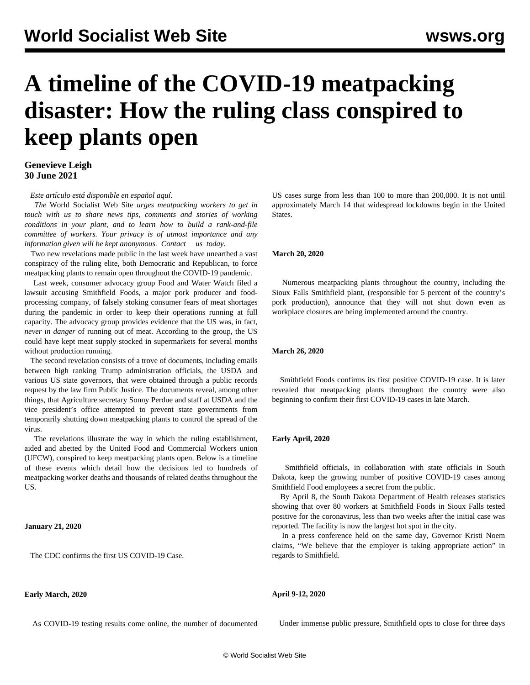# **A timeline of the COVID-19 meatpacking disaster: How the ruling class conspired to keep plants open**

# **Genevieve Leigh 30 June 2021**

*Este artículo está disponible en español [aquí](/es/articles/2021/07/03/tiem-j03.html).*

 *The* World Socialist Web Site *urges meatpacking workers to get in touch with us to share news tips, comments and stories of working conditions in your plant, and to learn how to build a rank-and-file committee of workers. Your privacy is of utmost importance and any information given will be kept anonymous. [Contact](mailto:Leigh@wsws.org) [us](mailto:Leigh@wsws.org) today.*

 Two new revelations made public in the last week have unearthed a vast conspiracy of the ruling elite, both Democratic and Republican, to force meatpacking plants to remain open throughout the COVID-19 pandemic.

 Last week, consumer advocacy group Food and Water Watch filed a [lawsuit](/en/articles/2021/06/25/smit-j25.html) accusing Smithfield Foods, a major pork producer and foodprocessing company, of falsely stoking consumer fears of meat shortages during the pandemic in order to keep their operations running at full capacity. The advocacy group provides evidence that the US was, in fact, *never in danger* of running out of meat. According to the group, the US could have kept meat supply stocked in supermarkets for several months without production running.

 The second revelation consists of a trove of documents, including emails between high ranking Trump administration officials, the USDA and various US state governors, that were obtained through a public records request by the law firm Public Justice. The documents reveal, among other things, that Agriculture secretary Sonny Perdue and staff at USDA and the vice president's office attempted to prevent state governments from temporarily shutting down meatpacking plants to control the spread of the virus.

 The revelations illustrate the way in which the ruling establishment, aided and abetted by the United Food and Commercial Workers union (UFCW), conspired to keep meatpacking plants open. Below is a timeline of these events which detail how the decisions led to hundreds of meatpacking worker deaths and thousands of related deaths throughout the US.

# **January 21, 2020**

The CDC confirms the first US COVID-19 Case.

# **Early March, 2020**

As COVID-19 testing results come online, the number of documented

US cases surge from less than 100 to more than 200,000. It is not until approximately March 14 that widespread lockdowns begin in the United States.

#### **March 20, 2020**

 Numerous meatpacking plants throughout the country, including the Sioux Falls Smithfield plant, (responsible for 5 percent of the country's pork production), announce that they will not shut down even as workplace closures are being implemented around the country.

# **March 26, 2020**

 Smithfield Foods confirms its first positive COVID-19 case. It is later revealed that meatpacking plants throughout the country were also beginning to confirm their first COVID-19 cases in late March.

# **Early April, 2020**

 Smithfield officials, in collaboration with state officials in South Dakota, keep the growing number of positive COVID-19 cases among Smithfield Food employees a secret from the public.

 By April 8, the South Dakota Department of Health releases statistics showing that over 80 workers at Smithfield Foods in Sioux Falls tested positive for the coronavirus, less than two weeks after the initial case was reported. The facility is now the largest hot spot in the city.

 In a press conference held on the same day, Governor Kristi Noem claims, "We believe that the employer is taking appropriate action" in regards to Smithfield.

# **April 9-12, 2020**

Under immense public pressure, Smithfield opts to close for three days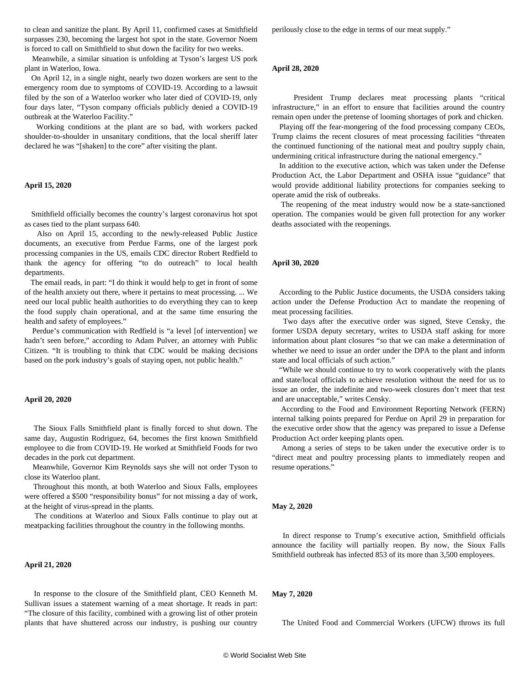to clean and sanitize the plant. By April 11, confirmed cases at Smithfield surpasses 230, becoming the largest hot spot in the state. Governor Noem is forced to call on Smithfield to shut down the facility for two weeks.

 Meanwhile, a similar situation is unfolding at Tyson's largest US pork plant in Waterloo, Iowa.

 On April 12, in a single night, nearly two dozen workers are sent to the emergency room due to symptoms of COVID-19. According to a lawsuit filed by the son of a Waterloo worker who later died of COVID-19, only four days later, "Tyson company officials publicly denied a COVID-19 outbreak at the Waterloo Facility."

 Working conditions at the plant are so bad, with workers packed shoulder-to-shoulder in unsanitary conditions, that the local sheriff later declared he was "[shaken] to the core" after visiting the plant.

# **April 15, 2020**

 Smithfield officially becomes the country's largest coronavirus hot spot as cases tied to the plant surpass 640.

 Also on April 15, according to the newly-released Public Justice documents, an executive from Perdue Farms, one of the largest pork processing companies in the US, emails CDC director Robert Redfield to thank the agency for offering "to do outreach" to local health departments.

 The email reads, in part: "I do think it would help to get in front of some of the health anxiety out there, where it pertains to meat processing. ... We need our local public health authorities to do everything they can to keep the food supply chain operational, and at the same time ensuring the health and safety of employees."

 Perdue's communication with Redfield is "a level [of intervention] we hadn't seen before," according to Adam Pulver, an attorney with Public Citizen. "It is troubling to think that CDC would be making decisions based on the pork industry's goals of staying open, not public health."

#### **April 20, 2020**

 The Sioux Falls Smithfield plant is finally forced to shut down. The same day, Augustin Rodriguez, 64, becomes the first known Smithfield employee to die from COVID-19. He worked at Smithfield Foods for two decades in the pork cut department.

 Meanwhile, Governor Kim Reynolds says she will not order Tyson to close its Waterloo plant.

 Throughout this month, at both Waterloo and Sioux Falls, employees were offered a \$500 "responsibility bonus" for not missing a day of work, at the height of virus-spread in the plants.

 The conditions at Waterloo and Sioux Falls continue to play out at meatpacking facilities throughout the country in the following months.

# **April 21, 2020**

 In response to the closure of the Smithfield plant, CEO Kenneth M. Sullivan issues a statement warning of a meat shortage. It reads in part: "The closure of this facility, combined with a growing list of other protein plants that have shuttered across our industry, is pushing our country perilously close to the edge in terms of our meat supply."

#### **April 28, 2020**

 President Trump declares meat processing plants "critical infrastructure," in an effort to ensure that facilities around the country remain open under the pretense of looming shortages of pork and chicken.

 Playing off the fear-mongering of the food processing company CEOs, Trump claims the recent closures of meat processing facilities "threaten the continued functioning of the national meat and poultry supply chain, undermining critical infrastructure during the national emergency."

 In addition to the executive action, which was taken under the Defense Production Act, the Labor Department and OSHA issue "guidance" that would provide additional liability protections for companies seeking to operate amid the risk of outbreaks.

 The reopening of the meat industry would now be a state-sanctioned operation. The companies would be given full protection for any worker deaths associated with the reopenings.

# **April 30, 2020**

 According to the Public Justice documents, the USDA considers taking action under the Defense Production Act to mandate the reopening of meat processing facilities.

 Two days after the executive order was signed, Steve Censky, the former USDA deputy secretary, writes to USDA staff asking for more information about plant closures "so that we can make a determination of whether we need to issue an order under the DPA to the plant and inform state and local officials of such action."

 "While we should continue to try to work cooperatively with the plants and state/local officials to achieve resolution without the need for us to issue an order, the indefinite and two-week closures don't meet that test and are unacceptable," writes Censky.

 According to the Food and Environment Reporting Network (FERN) internal talking points prepared for Perdue on April 29 in preparation for the executive order show that the agency was prepared to issue a Defense Production Act order keeping plants open.

 Among a series of steps to be taken under the executive order is to "direct meat and poultry processing plants to immediately reopen and resume operations."

#### **May 2, 2020**

 In direct response to Trump's executive action, Smithfield officials announce the facility will partially reopen. By now, the Sioux Falls Smithfield outbreak has infected 853 of its more than 3,500 employees.

# **May 7, 2020**

The United Food and Commercial Workers (UFCW) throws its full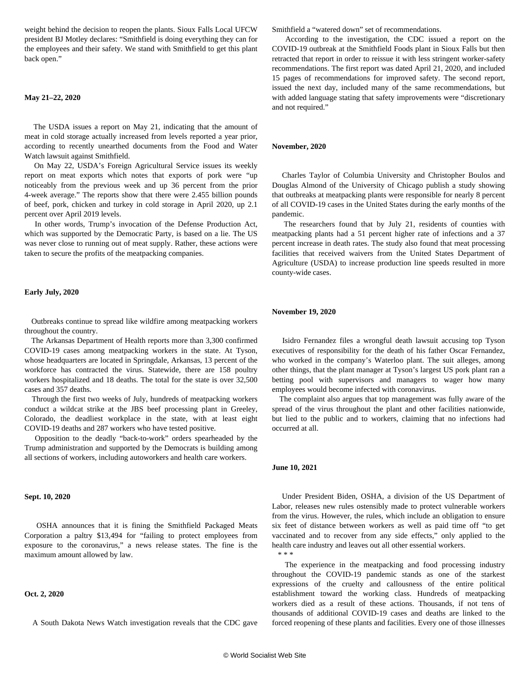weight behind the decision to reopen the plants. Sioux Falls Local UFCW president BJ Motley declares: "Smithfield is doing everything they can for the employees and their safety. We stand with Smithfield to get this plant back open."

# **May 21–22, 2020**

 The USDA issues a report on May 21, indicating that the amount of meat in cold storage actually increased from levels reported a year prior, according to recently unearthed documents from the Food and Water Watch lawsuit against Smithfield.

 On May 22, USDA's Foreign Agricultural Service issues its weekly report on meat exports which notes that exports of pork were "up noticeably from the previous week and up 36 percent from the prior 4-week average." The reports show that there were 2.455 billion pounds of beef, pork, chicken and turkey in cold storage in April 2020, up 2.1 percent over April 2019 levels.

 In other words, Trump's invocation of the Defense Production Act, which was supported by the Democratic Party, is based on a lie. The US was never close to running out of meat supply. Rather, these actions were taken to secure the profits of the meatpacking companies.

# **Early July, 2020**

 Outbreaks continue to spread like wildfire among meatpacking workers throughout the country.

 The Arkansas Department of Health reports more than [3,300 confirmed](/en/articles/2020/07/20/armp-j20.html) [COVID-19 cases a](/en/articles/2020/07/20/armp-j20.html)mong meatpacking workers in the state. At Tyson, whose headquarters are located in Springdale, Arkansas, 13 percent of the workforce has contracted the virus. Statewide, there are 158 poultry workers hospitalized and 18 deaths. The total for the state is over 32,500 cases and 357 deaths.

 Through the first two weeks of July, hundreds of meatpacking workers conduct a wildcat strike at the JBS beef processing plant in Greeley, Colorado, the deadliest workplace in the state, with at least eight COVID-19 deaths and 287 workers who have tested positive.

 Opposition to the deadly "back-to-work" orders spearheaded by the Trump administration and supported by the Democrats is building among all sections of workers, [including autoworkers and health care workers.](/en/articles/2020/07/14/auto-j14.html)

#### **Sept. 10, 2020**

 OSHA announces that it is fining the Smithfield Packaged Meats Corporation a paltry \$13,494 for "failing to protect employees from exposure to the coronavirus," a news release states. The fine is the maximum amount allowed by law.

#### **Oct. 2, 2020**

A South Dakota News Watch investigation reveals that the CDC gave

Smithfield a "watered down" set of recommendations.

 According to the investigation, the CDC issued a report on the COVID-19 outbreak at the Smithfield Foods plant in Sioux Falls but then retracted that report in order to reissue it with less stringent worker-safety recommendations. The first report was dated April 21, 2020, and included 15 pages of recommendations for improved safety. The second report, issued the next day, included many of the same recommendations, but with added language stating that safety improvements were "discretionary and not required."

# **November, 2020**

 Charles Taylor of Columbia University and Christopher Boulos and Douglas Almond of the University of Chicago publish a [study](/en/articles/2020/11/27/meat-n27.html) showing that outbreaks at meatpacking plants were responsible for nearly 8 percent of all COVID-19 cases in the United States during the early months of the pandemic.

 The researchers found that by July 21, residents of counties with meatpacking plants had a 51 percent higher rate of infections and a 37 percent increase in death rates. The study also found that meat processing facilities that received waivers from the United States Department of Agriculture (USDA) to increase production line speeds resulted in more county-wide cases.

# **November 19, 2020**

 Isidro Fernandez files a wrongful death lawsuit accusing top Tyson executives of responsibility for the death of his father Oscar Fernandez, who worked in the company's Waterloo plant. The suit alleges, among other things, that the plant manager at Tyson's largest US pork plant ran [a](/en/articles/2020/11/20/meat-n20.html) [betting pool](/en/articles/2020/11/20/meat-n20.html) with supervisors and managers to wager how many employees would become infected with coronavirus.

 The complaint also argues that top management was fully aware of the spread of the virus throughout the plant and other facilities nationwide, but lied to the public and to workers, claiming that no infections had occurred at all.

#### **June 10, 2021**

 Under President Biden, OSHA, a division of the US Department of Labor, releases new rules ostensibly made to protect vulnerable workers from the virus. However, the rules, which include an obligation to ensure six feet of distance between workers as well as paid time off "to get vaccinated and to recover from any side effects," only applied to the health care industry and leaves out all other essential workers. \* \* \*

 The experience in the meatpacking and food processing industry throughout the COVID-19 pandemic stands as one of the starkest expressions of the cruelty and callousness of the entire political establishment toward the working class. Hundreds of meatpacking workers died as a result of these actions. Thousands, if not tens of thousands of additional COVID-19 cases and deaths are linked to the forced reopening of these plants and facilities. Every one of those illnesses